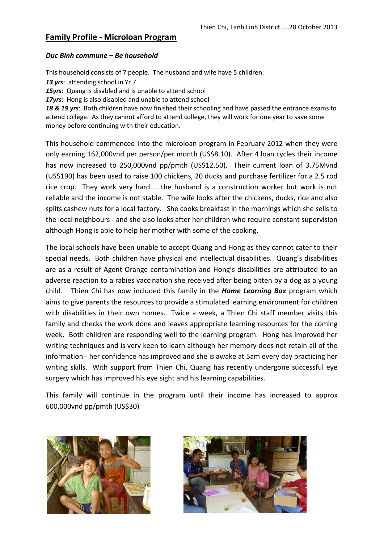### *Duc Binh commune – Be household*

This household consists of 7 people. The husband and wife have 5 children:

*13 yrs*: attending school in Yr 7

*15yrs*: Quang is disabled and is unable to attend school

*17yrs*: Hong is also disabled and unable to attend school

*18 & 19 yrs*: Both children have now finished their schooling and have passed the entrance exams to attend college. As they cannot afford to attend college, they will work for one year to save some money before continuing with their education.

This household commenced into the microloan program in February 2012 when they were only earning 162,000vnd per person/per month (US\$8.10). After 4 loan cycles their income has now increased to 250,000vnd pp/pmth (US\$12.50). Their current loan of 3.75Mvnd (US\$190) has been used to raise 100 chickens, 20 ducks and purchase fertilizer for a 2.5 rod rice crop. They work very hard.... the husband is a construction worker but work is not reliable and the income is not stable. The wife looks after the chickens, ducks, rice and also splits cashew nuts for a local factory. She cooks breakfast in the mornings which she sells to the local neighbours - and she also looks after her children who require constant supervision although Hong is able to help her mother with some of the cooking.

The local schools have been unable to accept Quang and Hong as they cannot cater to their special needs. Both children have physical and intellectual disabilities. Quang's disabilities are as a result of Agent Orange contamination and Hong's disabilities are attributed to an adverse reaction to a rabies vaccination she received after being bitten by a dog as a young child. Thien Chi has now included this family in the *Home Learning Box* program which aims to give parents the resources to provide a stimulated learning environment for children with disabilities in their own homes. Twice a week, a Thien Chi staff member visits this family and checks the work done and leaves appropriate learning resources for the coming week. Both children are responding well to the learning program. Hong has improved her writing techniques and is very keen to learn although her memory does not retain all of the information - her confidence has improved and she is awake at 5am every day practicing her writing skills. With support from Thien Chi, Quang has recently undergone successful eye surgery which has improved his eye sight and his learning capabilities.

This family will continue in the program until their income has increased to approx 600,000vnd pp/pmth (US\$30)



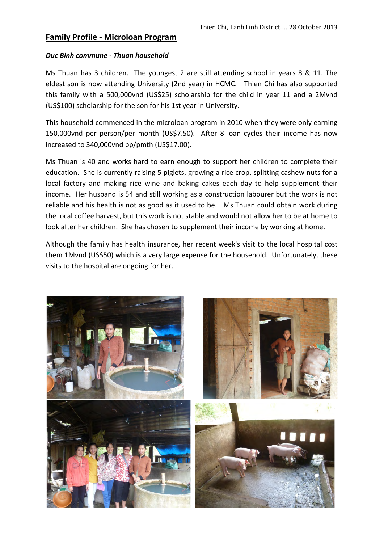### *Duc Binh commune - Thuan household*

Ms Thuan has 3 children. The youngest 2 are still attending school in years 8 & 11. The eldest son is now attending University (2nd year) in HCMC. Thien Chi has also supported this family with a 500,000vnd (US\$25) scholarship for the child in year 11 and a 2Mvnd (US\$100) scholarship for the son for his 1st year in University.

This household commenced in the microloan program in 2010 when they were only earning 150,000vnd per person/per month (US\$7.50). After 8 loan cycles their income has now increased to 340,000vnd pp/pmth (US\$17.00).

Ms Thuan is 40 and works hard to earn enough to support her children to complete their education. She is currently raising 5 piglets, growing a rice crop, splitting cashew nuts for a local factory and making rice wine and baking cakes each day to help supplement their income. Her husband is 54 and still working as a construction labourer but the work is not reliable and his health is not as good as it used to be. Ms Thuan could obtain work during the local coffee harvest, but this work is not stable and would not allow her to be at home to look after her children. She has chosen to supplement their income by working at home.

Although the family has health insurance, her recent week's visit to the local hospital cost them 1Mvnd (US\$50) which is a very large expense for the household. Unfortunately, these visits to the hospital are ongoing for her.

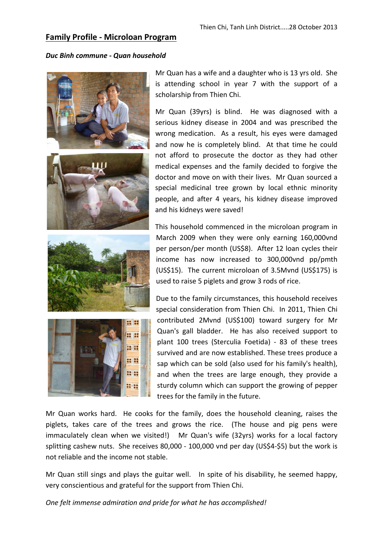#### *Duc Binh commune - Quan household*









Mr Quan has a wife and a daughter who is 13 yrs old. She is attending school in year 7 with the support of a scholarship from Thien Chi.

Mr Quan (39yrs) is blind. He was diagnosed with a serious kidney disease in 2004 and was prescribed the wrong medication. As a result, his eyes were damaged and now he is completely blind. At that time he could not afford to prosecute the doctor as they had other medical expenses and the family decided to forgive the doctor and move on with their lives. Mr Quan sourced a special medicinal tree grown by local ethnic minority people, and after 4 years, his kidney disease improved and his kidneys were saved!

This household commenced in the microloan program in March 2009 when they were only earning 160,000vnd per person/per month (US\$8). After 12 loan cycles their income has now increased to 300,000vnd pp/pmth (US\$15). The current microloan of 3.5Mvnd (US\$175) is used to raise 5 piglets and grow 3 rods of rice.

Due to the family circumstances, this household receives special consideration from Thien Chi. In 2011, Thien Chi contributed 2Mvnd (US\$100) toward surgery for Mr Quan's gall bladder. He has also received support to plant 100 trees (Sterculia Foetida) - 83 of these trees survived and are now established. These trees produce a sap which can be sold (also used for his family's health), and when the trees are large enough, they provide a sturdy column which can support the growing of pepper trees for the family in the future.

Mr Quan works hard. He cooks for the family, does the household cleaning, raises the piglets, takes care of the trees and grows the rice. (The house and pig pens were immaculately clean when we visited!) Mr Quan's wife (32yrs) works for a local factory splitting cashew nuts. She receives 80,000 - 100,000 vnd per day (US\$4-\$5) but the work is not reliable and the income not stable.

Mr Quan still sings and plays the guitar well. In spite of his disability, he seemed happy, very conscientious and grateful for the support from Thien Chi.

*One felt immense admiration and pride for what he has accomplished!*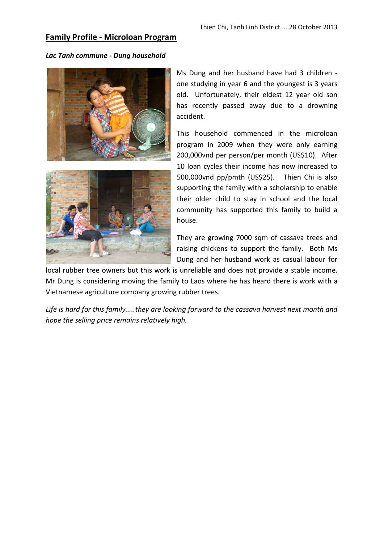### *Lac Tanh commune - Dung household*





Ms Dung and her husband have had 3 children one studying in year 6 and the youngest is 3 years old. Unfortunately, their eldest 12 year old son has recently passed away due to a drowning accident.

This household commenced in the microloan program in 2009 when they were only earning 200,000vnd per person/per month (US\$10). After 10 loan cycles their income has now increased to 500,000vnd pp/pmth (US\$25). Thien Chi is also supporting the family with a scholarship to enable their older child to stay in school and the local community has supported this family to build a house.

They are growing 7000 sqm of cassava trees and raising chickens to support the family. Both Ms Dung and her husband work as casual labour for

local rubber tree owners but this work is unreliable and does not provide a stable income. Mr Dung is considering moving the family to Laos where he has heard there is work with a Vietnamese agriculture company growing rubber trees.

*Life is hard for this family.....they are looking forward to the cassava harvest next month and hope the selling price remains relatively high.*